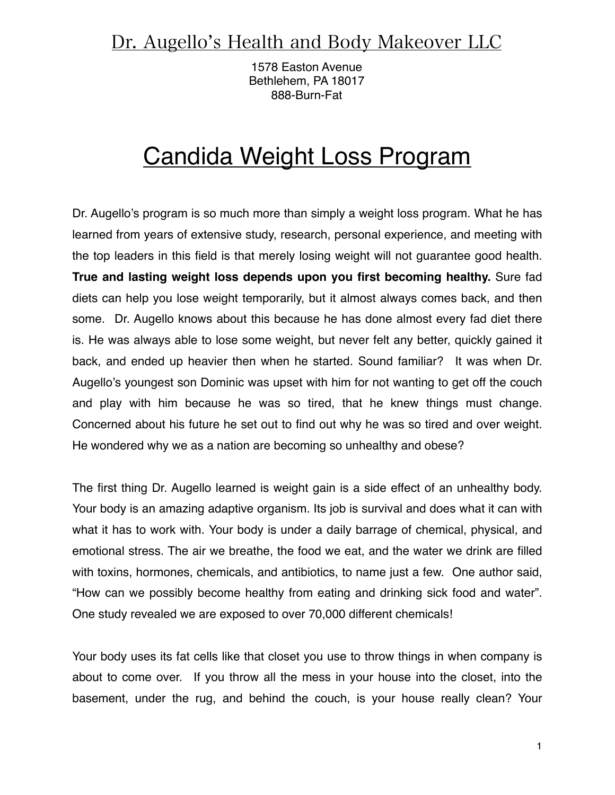# Dr. Augello's Health and Body Makeover LLC

1578 Easton Avenue Bethlehem, PA 18017 888-Burn-Fat

# Candida Weight Loss Program

Dr. Augello's program is so much more than simply a weight loss program. What he has learned from years of extensive study, research, personal experience, and meeting with the top leaders in this field is that merely losing weight will not guarantee good health. **True and lasting weight loss depends upon you first becoming healthy.** Sure fad diets can help you lose weight temporarily, but it almost always comes back, and then some. Dr. Augello knows about this because he has done almost every fad diet there is. He was always able to lose some weight, but never felt any better, quickly gained it back, and ended up heavier then when he started. Sound familiar? It was when Dr. Augello's youngest son Dominic was upset with him for not wanting to get off the couch and play with him because he was so tired, that he knew things must change. Concerned about his future he set out to find out why he was so tired and over weight. He wondered why we as a nation are becoming so unhealthy and obese?

The first thing Dr. Augello learned is weight gain is a side effect of an unhealthy body. Your body is an amazing adaptive organism. Its job is survival and does what it can with what it has to work with. Your body is under a daily barrage of chemical, physical, and emotional stress. The air we breathe, the food we eat, and the water we drink are filled with toxins, hormones, chemicals, and antibiotics, to name just a few. One author said, "How can we possibly become healthy from eating and drinking sick food and water". One study revealed we are exposed to over 70,000 different chemicals!

Your body uses its fat cells like that closet you use to throw things in when company is about to come over. If you throw all the mess in your house into the closet, into the basement, under the rug, and behind the couch, is your house really clean? Your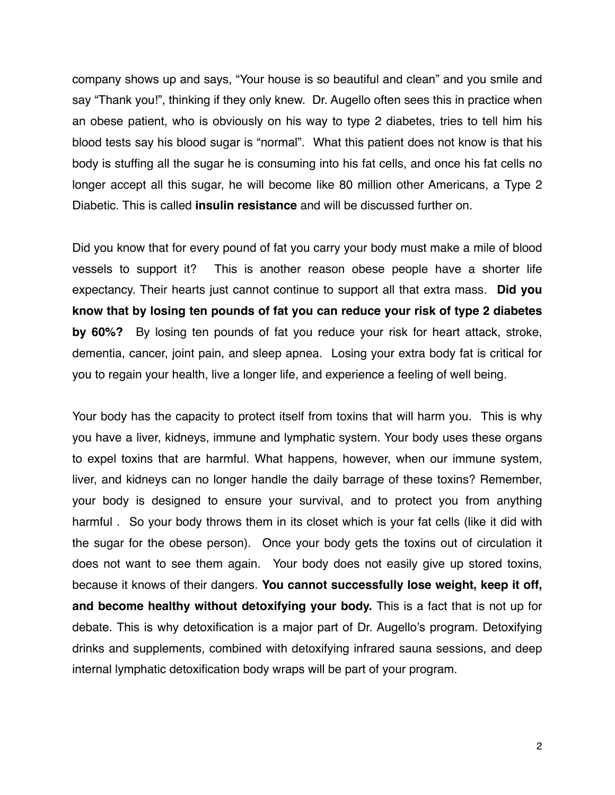company shows up and says, "Your house is so beautiful and clean" and you smile and say "Thank you!", thinking if they only knew. Dr. Augello often sees this in practice when an obese patient, who is obviously on his way to type 2 diabetes, tries to tell him his blood tests say his blood sugar is "normal". What this patient does not know is that his body is stuffing all the sugar he is consuming into his fat cells, and once his fat cells no longer accept all this sugar, he will become like 80 million other Americans, a Type 2 Diabetic. This is called **insulin resistance** and will be discussed further on.

Did you know that for every pound of fat you carry your body must make a mile of blood vessels to support it? This is another reason obese people have a shorter life expectancy. Their hearts just cannot continue to support all that extra mass. **Did you know that by losing ten pounds of fat you can reduce your risk of type 2 diabetes by 60%?** By losing ten pounds of fat you reduce your risk for heart attack, stroke, dementia, cancer, joint pain, and sleep apnea. Losing your extra body fat is critical for you to regain your health, live a longer life, and experience a feeling of well being.

Your body has the capacity to protect itself from toxins that will harm you. This is why you have a liver, kidneys, immune and lymphatic system. Your body uses these organs to expel toxins that are harmful. What happens, however, when our immune system, liver, and kidneys can no longer handle the daily barrage of these toxins? Remember, your body is designed to ensure your survival, and to protect you from anything harmful . So your body throws them in its closet which is your fat cells (like it did with the sugar for the obese person). Once your body gets the toxins out of circulation it does not want to see them again. Your body does not easily give up stored toxins, because it knows of their dangers. **You cannot successfully lose weight, keep it off, and become healthy without detoxifying your body.** This is a fact that is not up for debate. This is why detoxification is a major part of Dr. Augello's program. Detoxifying drinks and supplements, combined with detoxifying infrared sauna sessions, and deep internal lymphatic detoxification body wraps will be part of your program.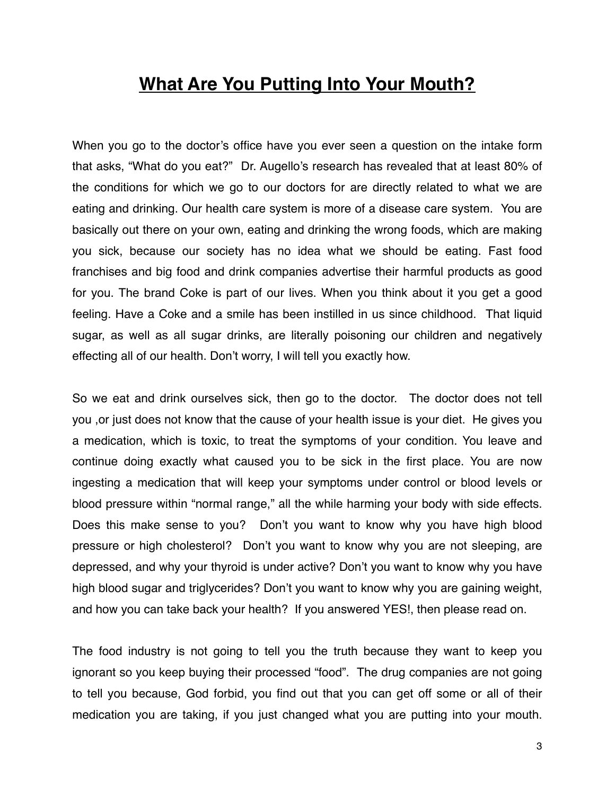#### **What Are You Putting Into Your Mouth?**

When you go to the doctor's office have you ever seen a question on the intake form that asks, "What do you eat?" Dr. Augello's research has revealed that at least 80% of the conditions for which we go to our doctors for are directly related to what we are eating and drinking. Our health care system is more of a disease care system. You are basically out there on your own, eating and drinking the wrong foods, which are making you sick, because our society has no idea what we should be eating. Fast food franchises and big food and drink companies advertise their harmful products as good for you. The brand Coke is part of our lives. When you think about it you get a good feeling. Have a Coke and a smile has been instilled in us since childhood. That liquid sugar, as well as all sugar drinks, are literally poisoning our children and negatively effecting all of our health. Don't worry, I will tell you exactly how.

So we eat and drink ourselves sick, then go to the doctor. The doctor does not tell you ,or just does not know that the cause of your health issue is your diet. He gives you a medication, which is toxic, to treat the symptoms of your condition. You leave and continue doing exactly what caused you to be sick in the first place. You are now ingesting a medication that will keep your symptoms under control or blood levels or blood pressure within "normal range," all the while harming your body with side effects. Does this make sense to you? Don't you want to know why you have high blood pressure or high cholesterol? Don't you want to know why you are not sleeping, are depressed, and why your thyroid is under active? Don't you want to know why you have high blood sugar and triglycerides? Don't you want to know why you are gaining weight, and how you can take back your health? If you answered YES!, then please read on.

The food industry is not going to tell you the truth because they want to keep you ignorant so you keep buying their processed "food". The drug companies are not going to tell you because, God forbid, you find out that you can get off some or all of their medication you are taking, if you just changed what you are putting into your mouth.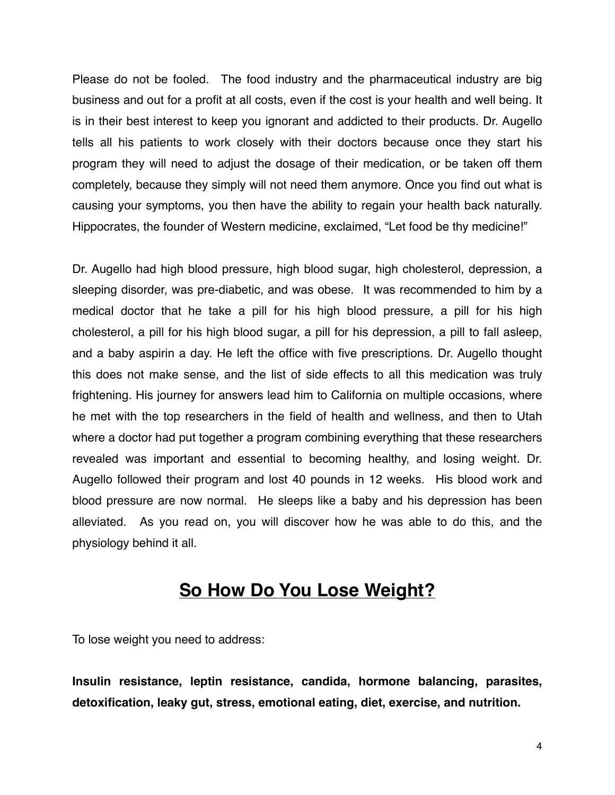Please do not be fooled. The food industry and the pharmaceutical industry are big business and out for a profit at all costs, even if the cost is your health and well being. It is in their best interest to keep you ignorant and addicted to their products. Dr. Augello tells all his patients to work closely with their doctors because once they start his program they will need to adjust the dosage of their medication, or be taken off them completely, because they simply will not need them anymore. Once you find out what is causing your symptoms, you then have the ability to regain your health back naturally. Hippocrates, the founder of Western medicine, exclaimed, "Let food be thy medicine!"

Dr. Augello had high blood pressure, high blood sugar, high cholesterol, depression, a sleeping disorder, was pre-diabetic, and was obese. It was recommended to him by a medical doctor that he take a pill for his high blood pressure, a pill for his high cholesterol, a pill for his high blood sugar, a pill for his depression, a pill to fall asleep, and a baby aspirin a day. He left the office with five prescriptions. Dr. Augello thought this does not make sense, and the list of side effects to all this medication was truly frightening. His journey for answers lead him to California on multiple occasions, where he met with the top researchers in the field of health and wellness, and then to Utah where a doctor had put together a program combining everything that these researchers revealed was important and essential to becoming healthy, and losing weight. Dr. Augello followed their program and lost 40 pounds in 12 weeks. His blood work and blood pressure are now normal. He sleeps like a baby and his depression has been alleviated. As you read on, you will discover how he was able to do this, and the physiology behind it all.

# **So How Do You Lose Weight?**

To lose weight you need to address:

**Insulin resistance, leptin resistance, candida, hormone balancing, parasites, detoxification, leaky gut, stress, emotional eating, diet, exercise, and nutrition.**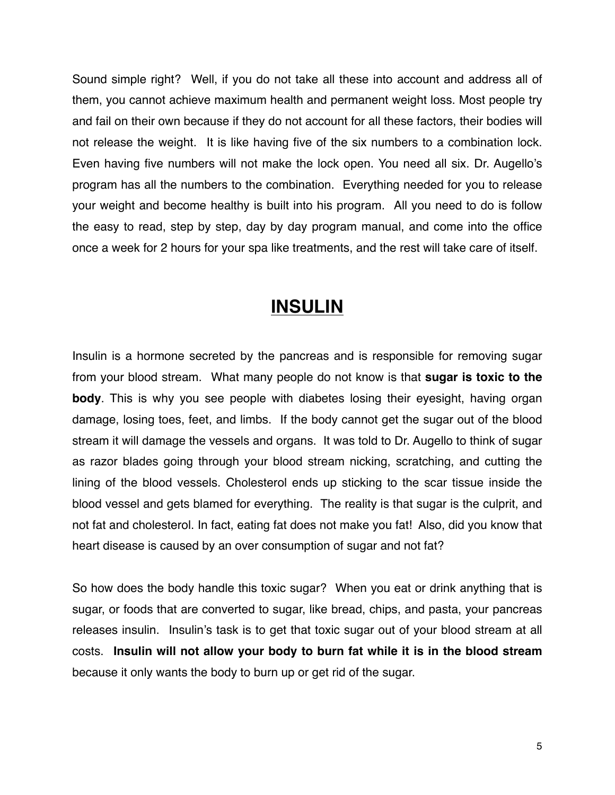Sound simple right? Well, if you do not take all these into account and address all of them, you cannot achieve maximum health and permanent weight loss. Most people try and fail on their own because if they do not account for all these factors, their bodies will not release the weight. It is like having five of the six numbers to a combination lock. Even having five numbers will not make the lock open. You need all six. Dr. Augello's program has all the numbers to the combination. Everything needed for you to release your weight and become healthy is built into his program. All you need to do is follow the easy to read, step by step, day by day program manual, and come into the office once a week for 2 hours for your spa like treatments, and the rest will take care of itself.

## **INSULIN**

Insulin is a hormone secreted by the pancreas and is responsible for removing sugar from your blood stream. What many people do not know is that **sugar is toxic to the body**. This is why you see people with diabetes losing their eyesight, having organ damage, losing toes, feet, and limbs. If the body cannot get the sugar out of the blood stream it will damage the vessels and organs. It was told to Dr. Augello to think of sugar as razor blades going through your blood stream nicking, scratching, and cutting the lining of the blood vessels. Cholesterol ends up sticking to the scar tissue inside the blood vessel and gets blamed for everything. The reality is that sugar is the culprit, and not fat and cholesterol. In fact, eating fat does not make you fat! Also, did you know that heart disease is caused by an over consumption of sugar and not fat?

So how does the body handle this toxic sugar? When you eat or drink anything that is sugar, or foods that are converted to sugar, like bread, chips, and pasta, your pancreas releases insulin. Insulin's task is to get that toxic sugar out of your blood stream at all costs. **Insulin will not allow your body to burn fat while it is in the blood stream** because it only wants the body to burn up or get rid of the sugar.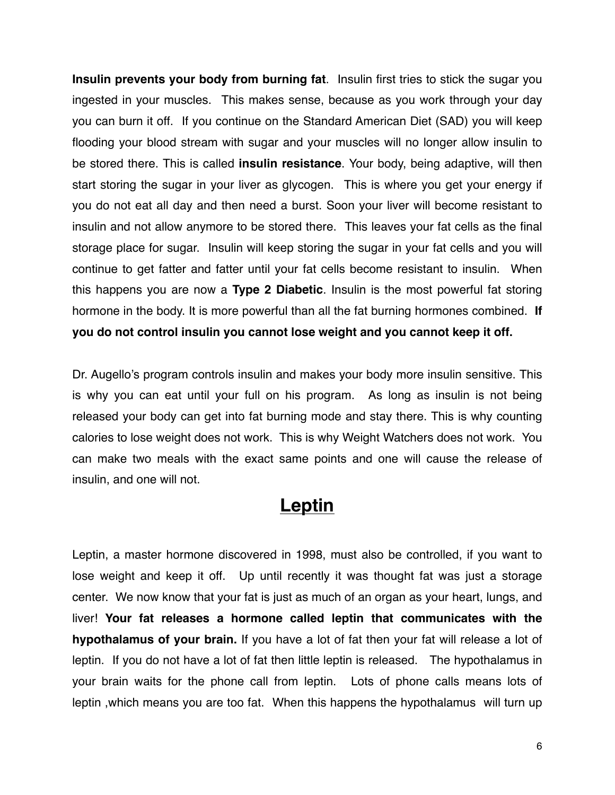**Insulin prevents your body from burning fat**. Insulin first tries to stick the sugar you ingested in your muscles. This makes sense, because as you work through your day you can burn it off. If you continue on the Standard American Diet (SAD) you will keep flooding your blood stream with sugar and your muscles will no longer allow insulin to be stored there. This is called **insulin resistance**. Your body, being adaptive, will then start storing the sugar in your liver as glycogen. This is where you get your energy if you do not eat all day and then need a burst. Soon your liver will become resistant to insulin and not allow anymore to be stored there. This leaves your fat cells as the final storage place for sugar. Insulin will keep storing the sugar in your fat cells and you will continue to get fatter and fatter until your fat cells become resistant to insulin. When this happens you are now a **Type 2 Diabetic**. Insulin is the most powerful fat storing hormone in the body. It is more powerful than all the fat burning hormones combined. **If you do not control insulin you cannot lose weight and you cannot keep it off.** 

Dr. Augello's program controls insulin and makes your body more insulin sensitive. This is why you can eat until your full on his program. As long as insulin is not being released your body can get into fat burning mode and stay there. This is why counting calories to lose weight does not work. This is why Weight Watchers does not work. You can make two meals with the exact same points and one will cause the release of insulin, and one will not.

# **Leptin**

Leptin, a master hormone discovered in 1998, must also be controlled, if you want to lose weight and keep it off. Up until recently it was thought fat was just a storage center. We now know that your fat is just as much of an organ as your heart, lungs, and liver! **Your fat releases a hormone called leptin that communicates with the hypothalamus of your brain.** If you have a lot of fat then your fat will release a lot of leptin. If you do not have a lot of fat then little leptin is released. The hypothalamus in your brain waits for the phone call from leptin. Lots of phone calls means lots of leptin ,which means you are too fat. When this happens the hypothalamus will turn up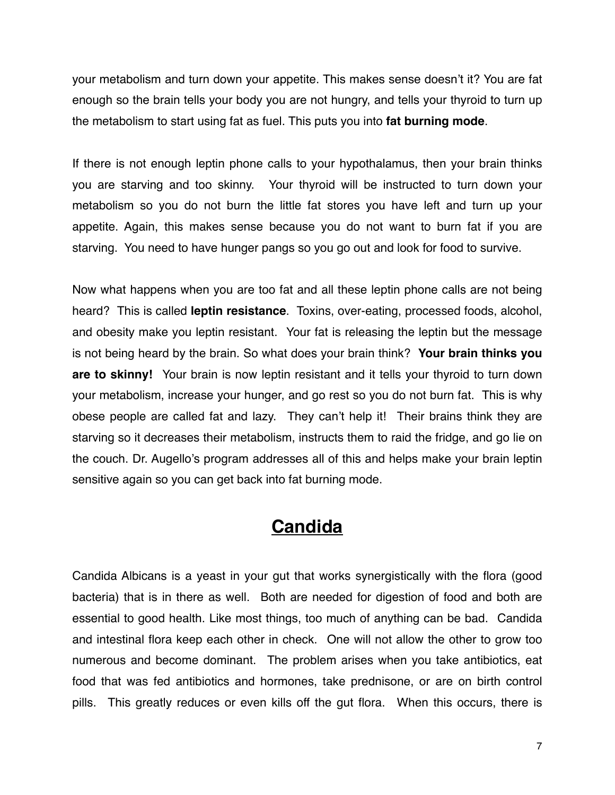your metabolism and turn down your appetite. This makes sense doesn't it? You are fat enough so the brain tells your body you are not hungry, and tells your thyroid to turn up the metabolism to start using fat as fuel. This puts you into **fat burning mode**.

If there is not enough leptin phone calls to your hypothalamus, then your brain thinks you are starving and too skinny. Your thyroid will be instructed to turn down your metabolism so you do not burn the little fat stores you have left and turn up your appetite. Again, this makes sense because you do not want to burn fat if you are starving. You need to have hunger pangs so you go out and look for food to survive.

Now what happens when you are too fat and all these leptin phone calls are not being heard? This is called **leptin resistance**. Toxins, over-eating, processed foods, alcohol, and obesity make you leptin resistant. Your fat is releasing the leptin but the message is not being heard by the brain. So what does your brain think? **Your brain thinks you are to skinny!** Your brain is now leptin resistant and it tells your thyroid to turn down your metabolism, increase your hunger, and go rest so you do not burn fat. This is why obese people are called fat and lazy. They can't help it! Their brains think they are starving so it decreases their metabolism, instructs them to raid the fridge, and go lie on the couch. Dr. Augello's program addresses all of this and helps make your brain leptin sensitive again so you can get back into fat burning mode.

#### **Candida**

Candida Albicans is a yeast in your gut that works synergistically with the flora (good bacteria) that is in there as well. Both are needed for digestion of food and both are essential to good health. Like most things, too much of anything can be bad. Candida and intestinal flora keep each other in check. One will not allow the other to grow too numerous and become dominant. The problem arises when you take antibiotics, eat food that was fed antibiotics and hormones, take prednisone, or are on birth control pills. This greatly reduces or even kills off the gut flora. When this occurs, there is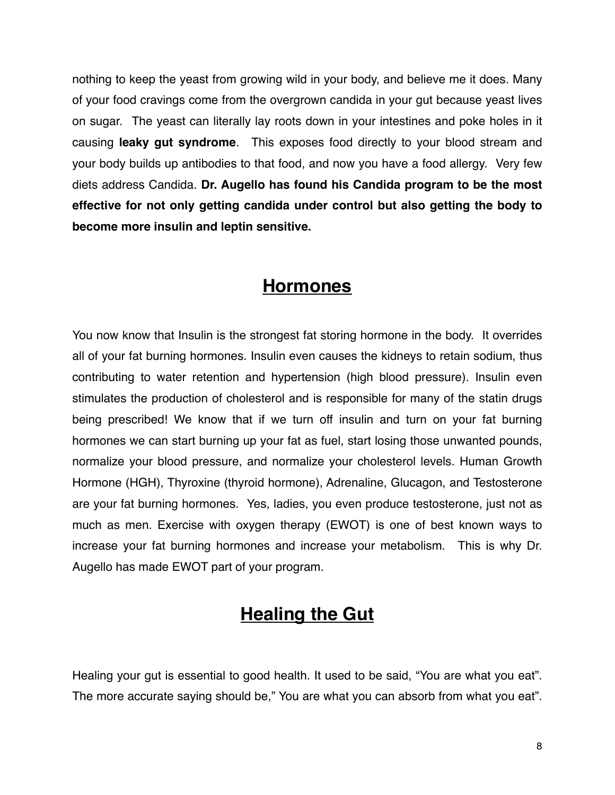nothing to keep the yeast from growing wild in your body, and believe me it does. Many of your food cravings come from the overgrown candida in your gut because yeast lives on sugar. The yeast can literally lay roots down in your intestines and poke holes in it causing **leaky gut syndrome**. This exposes food directly to your blood stream and your body builds up antibodies to that food, and now you have a food allergy. Very few diets address Candida. **Dr. Augello has found his Candida program to be the most effective for not only getting candida under control but also getting the body to become more insulin and leptin sensitive.**

#### **Hormones**

You now know that Insulin is the strongest fat storing hormone in the body. It overrides all of your fat burning hormones. Insulin even causes the kidneys to retain sodium, thus contributing to water retention and hypertension (high blood pressure). Insulin even stimulates the production of cholesterol and is responsible for many of the statin drugs being prescribed! We know that if we turn off insulin and turn on your fat burning hormones we can start burning up your fat as fuel, start losing those unwanted pounds, normalize your blood pressure, and normalize your cholesterol levels. Human Growth Hormone (HGH), Thyroxine (thyroid hormone), Adrenaline, Glucagon, and Testosterone are your fat burning hormones. Yes, ladies, you even produce testosterone, just not as much as men. Exercise with oxygen therapy (EWOT) is one of best known ways to increase your fat burning hormones and increase your metabolism. This is why Dr. Augello has made EWOT part of your program.

# **Healing the Gut**

Healing your gut is essential to good health. It used to be said, "You are what you eat". The more accurate saying should be," You are what you can absorb from what you eat".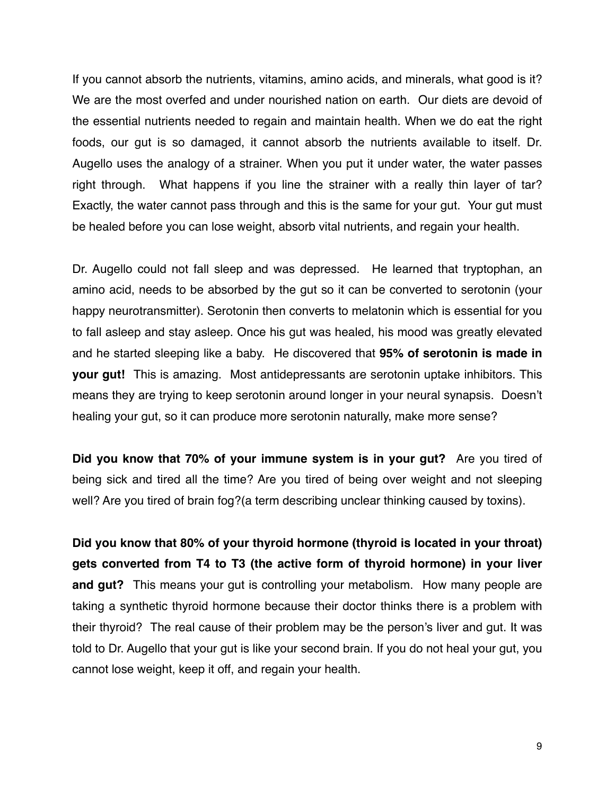If you cannot absorb the nutrients, vitamins, amino acids, and minerals, what good is it? We are the most overfed and under nourished nation on earth. Our diets are devoid of the essential nutrients needed to regain and maintain health. When we do eat the right foods, our gut is so damaged, it cannot absorb the nutrients available to itself. Dr. Augello uses the analogy of a strainer. When you put it under water, the water passes right through. What happens if you line the strainer with a really thin layer of tar? Exactly, the water cannot pass through and this is the same for your gut. Your gut must be healed before you can lose weight, absorb vital nutrients, and regain your health.

Dr. Augello could not fall sleep and was depressed. He learned that tryptophan, an amino acid, needs to be absorbed by the gut so it can be converted to serotonin (your happy neurotransmitter). Serotonin then converts to melatonin which is essential for you to fall asleep and stay asleep. Once his gut was healed, his mood was greatly elevated and he started sleeping like a baby. He discovered that **95% of serotonin is made in your gut!** This is amazing. Most antidepressants are serotonin uptake inhibitors. This means they are trying to keep serotonin around longer in your neural synapsis. Doesn't healing your gut, so it can produce more serotonin naturally, make more sense?

**Did you know that 70% of your immune system is in your gut?** Are you tired of being sick and tired all the time? Are you tired of being over weight and not sleeping well? Are you tired of brain fog? (a term describing unclear thinking caused by toxins).

**Did you know that 80% of your thyroid hormone (thyroid is located in your throat) gets converted from T4 to T3 (the active form of thyroid hormone) in your liver and gut?** This means your gut is controlling your metabolism. How many people are taking a synthetic thyroid hormone because their doctor thinks there is a problem with their thyroid? The real cause of their problem may be the person's liver and gut. It was told to Dr. Augello that your gut is like your second brain. If you do not heal your gut, you cannot lose weight, keep it off, and regain your health.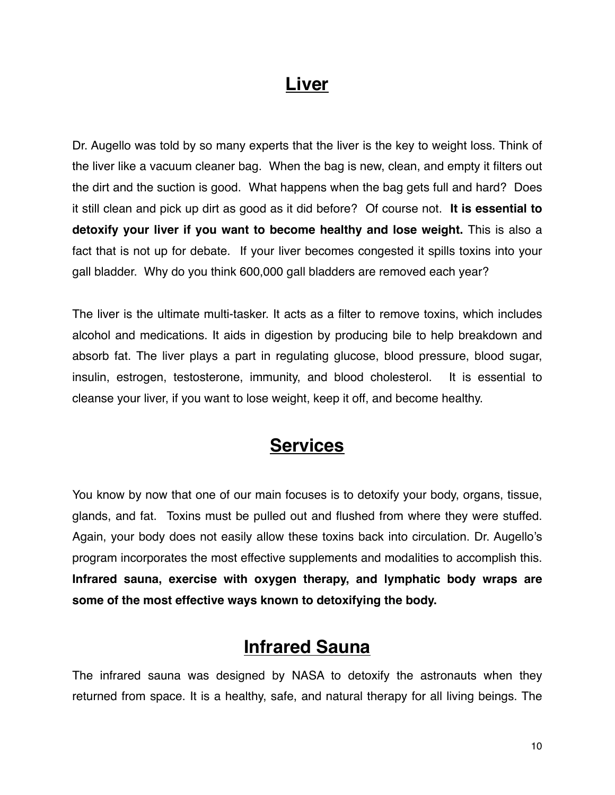# **Liver**

Dr. Augello was told by so many experts that the liver is the key to weight loss. Think of the liver like a vacuum cleaner bag. When the bag is new, clean, and empty it filters out the dirt and the suction is good. What happens when the bag gets full and hard? Does it still clean and pick up dirt as good as it did before? Of course not. **It is essential to detoxify your liver if you want to become healthy and lose weight.** This is also a fact that is not up for debate. If your liver becomes congested it spills toxins into your gall bladder. Why do you think 600,000 gall bladders are removed each year?

The liver is the ultimate multi-tasker. It acts as a filter to remove toxins, which includes alcohol and medications. It aids in digestion by producing bile to help breakdown and absorb fat. The liver plays a part in regulating glucose, blood pressure, blood sugar, insulin, estrogen, testosterone, immunity, and blood cholesterol. It is essential to cleanse your liver, if you want to lose weight, keep it off, and become healthy.

#### **Services**

You know by now that one of our main focuses is to detoxify your body, organs, tissue, glands, and fat. Toxins must be pulled out and flushed from where they were stuffed. Again, your body does not easily allow these toxins back into circulation. Dr. Augello's program incorporates the most effective supplements and modalities to accomplish this. **Infrared sauna, exercise with oxygen therapy, and lymphatic body wraps are some of the most effective ways known to detoxifying the body.** 

# **Infrared Sauna**

The infrared sauna was designed by NASA to detoxify the astronauts when they returned from space. It is a healthy, safe, and natural therapy for all living beings. The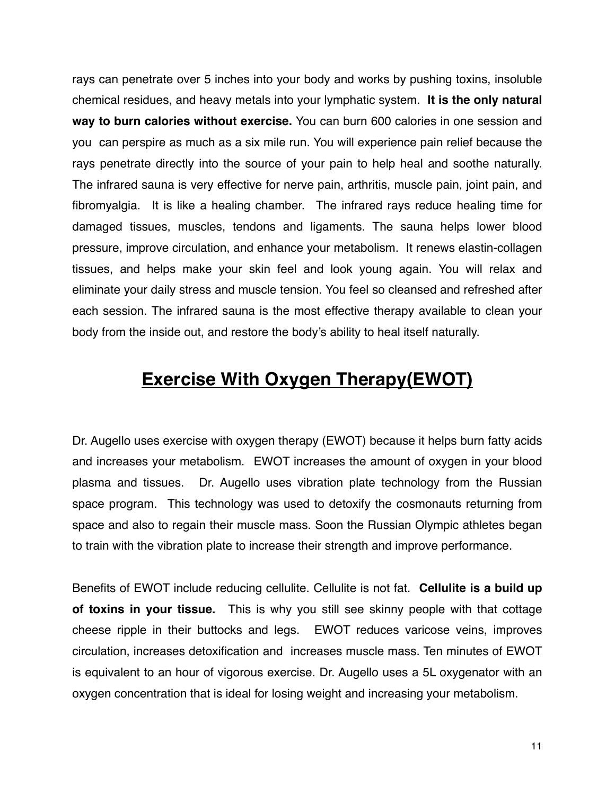rays can penetrate over 5 inches into your body and works by pushing toxins, insoluble chemical residues, and heavy metals into your lymphatic system. **It is the only natural way to burn calories without exercise.** You can burn 600 calories in one session and you can perspire as much as a six mile run. You will experience pain relief because the rays penetrate directly into the source of your pain to help heal and soothe naturally. The infrared sauna is very effective for nerve pain, arthritis, muscle pain, joint pain, and fibromyalgia. It is like a healing chamber. The infrared rays reduce healing time for damaged tissues, muscles, tendons and ligaments. The sauna helps lower blood pressure, improve circulation, and enhance your metabolism. It renews elastin-collagen tissues, and helps make your skin feel and look young again. You will relax and eliminate your daily stress and muscle tension. You feel so cleansed and refreshed after each session. The infrared sauna is the most effective therapy available to clean your body from the inside out, and restore the body's ability to heal itself naturally.

# **Exercise With Oxygen Therapy(EWOT)**

Dr. Augello uses exercise with oxygen therapy (EWOT) because it helps burn fatty acids and increases your metabolism. EWOT increases the amount of oxygen in your blood plasma and tissues. Dr. Augello uses vibration plate technology from the Russian space program. This technology was used to detoxify the cosmonauts returning from space and also to regain their muscle mass. Soon the Russian Olympic athletes began to train with the vibration plate to increase their strength and improve performance.

Benefits of EWOT include reducing cellulite. Cellulite is not fat. **Cellulite is a build up of toxins in your tissue.** This is why you still see skinny people with that cottage cheese ripple in their buttocks and legs. EWOT reduces varicose veins, improves circulation, increases detoxification and increases muscle mass. Ten minutes of EWOT is equivalent to an hour of vigorous exercise. Dr. Augello uses a 5L oxygenator with an oxygen concentration that is ideal for losing weight and increasing your metabolism.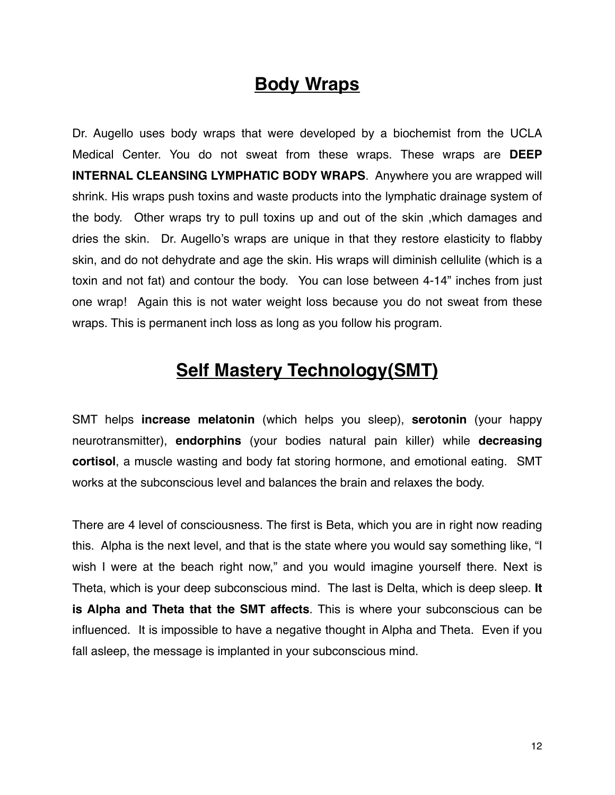# **Body Wraps**

Dr. Augello uses body wraps that were developed by a biochemist from the UCLA Medical Center. You do not sweat from these wraps. These wraps are **DEEP INTERNAL CLEANSING LYMPHATIC BODY WRAPS.** Anywhere you are wrapped will shrink. His wraps push toxins and waste products into the lymphatic drainage system of the body. Other wraps try to pull toxins up and out of the skin ,which damages and dries the skin. Dr. Augello's wraps are unique in that they restore elasticity to flabby skin, and do not dehydrate and age the skin. His wraps will diminish cellulite (which is a toxin and not fat) and contour the body. You can lose between 4-14" inches from just one wrap! Again this is not water weight loss because you do not sweat from these wraps. This is permanent inch loss as long as you follow his program.

#### **Self Mastery Technology(SMT)**

SMT helps **increase melatonin** (which helps you sleep), **serotonin** (your happy neurotransmitter), **endorphins** (your bodies natural pain killer) while **decreasing cortisol**, a muscle wasting and body fat storing hormone, and emotional eating. SMT works at the subconscious level and balances the brain and relaxes the body.

There are 4 level of consciousness. The first is Beta, which you are in right now reading this. Alpha is the next level, and that is the state where you would say something like, "I wish I were at the beach right now," and you would imagine yourself there. Next is Theta, which is your deep subconscious mind. The last is Delta, which is deep sleep. **It is Alpha and Theta that the SMT affects**. This is where your subconscious can be influenced. It is impossible to have a negative thought in Alpha and Theta. Even if you fall asleep, the message is implanted in your subconscious mind.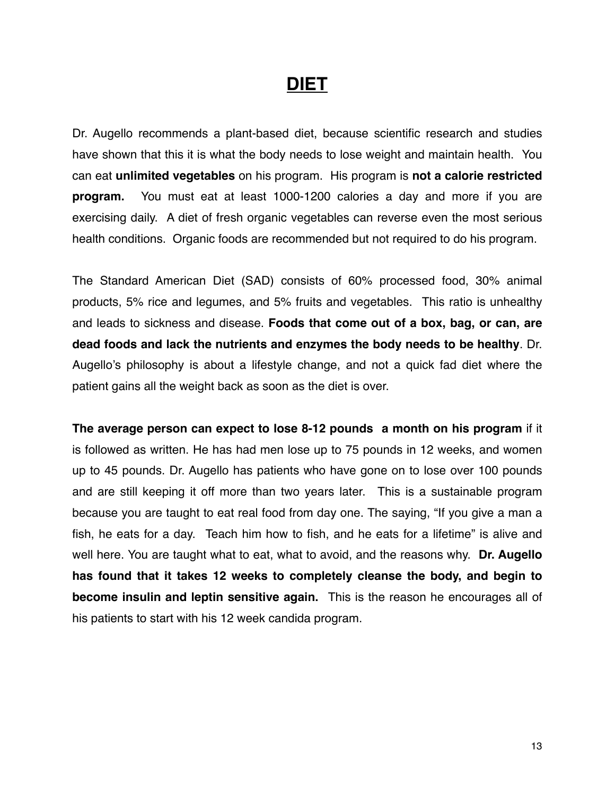#### **DIET**

Dr. Augello recommends a plant-based diet, because scientific research and studies have shown that this it is what the body needs to lose weight and maintain health. You can eat **unlimited vegetables** on his program. His program is **not a calorie restricted program.** You must eat at least 1000-1200 calories a day and more if you are exercising daily. A diet of fresh organic vegetables can reverse even the most serious health conditions. Organic foods are recommended but not required to do his program.

The Standard American Diet (SAD) consists of 60% processed food, 30% animal products, 5% rice and legumes, and 5% fruits and vegetables. This ratio is unhealthy and leads to sickness and disease. **Foods that come out of a box, bag, or can, are dead foods and lack the nutrients and enzymes the body needs to be healthy**. Dr. Augello's philosophy is about a lifestyle change, and not a quick fad diet where the patient gains all the weight back as soon as the diet is over.

**The average person can expect to lose 8-12 pounds a month on his program** if it is followed as written. He has had men lose up to 75 pounds in 12 weeks, and women up to 45 pounds. Dr. Augello has patients who have gone on to lose over 100 pounds and are still keeping it off more than two years later. This is a sustainable program because you are taught to eat real food from day one. The saying, "If you give a man a fish, he eats for a day. Teach him how to fish, and he eats for a lifetime" is alive and well here. You are taught what to eat, what to avoid, and the reasons why. **Dr. Augello has found that it takes 12 weeks to completely cleanse the body, and begin to become insulin and leptin sensitive again.** This is the reason he encourages all of his patients to start with his 12 week candida program.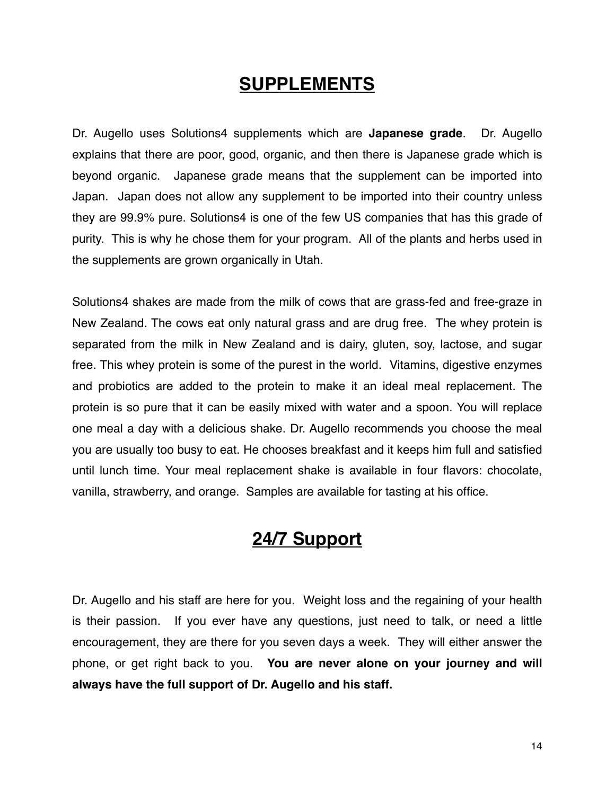# **SUPPLEMENTS**

Dr. Augello uses Solutions4 supplements which are **Japanese grade**. Dr. Augello explains that there are poor, good, organic, and then there is Japanese grade which is beyond organic. Japanese grade means that the supplement can be imported into Japan. Japan does not allow any supplement to be imported into their country unless they are 99.9% pure. Solutions4 is one of the few US companies that has this grade of purity. This is why he chose them for your program. All of the plants and herbs used in the supplements are grown organically in Utah.

Solutions4 shakes are made from the milk of cows that are grass-fed and free-graze in New Zealand. The cows eat only natural grass and are drug free. The whey protein is separated from the milk in New Zealand and is dairy, gluten, soy, lactose, and sugar free. This whey protein is some of the purest in the world. Vitamins, digestive enzymes and probiotics are added to the protein to make it an ideal meal replacement. The protein is so pure that it can be easily mixed with water and a spoon. You will replace one meal a day with a delicious shake. Dr. Augello recommends you choose the meal you are usually too busy to eat. He chooses breakfast and it keeps him full and satisfied until lunch time. Your meal replacement shake is available in four flavors: chocolate, vanilla, strawberry, and orange. Samples are available for tasting at his office.

# **24/7 Support**

Dr. Augello and his staff are here for you. Weight loss and the regaining of your health is their passion. If you ever have any questions, just need to talk, or need a little encouragement, they are there for you seven days a week. They will either answer the phone, or get right back to you. **You are never alone on your journey and will always have the full support of Dr. Augello and his staff.**